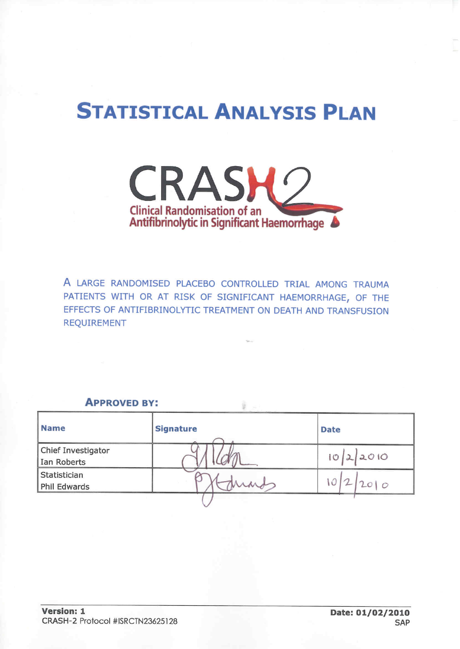# **STATISTICAL ANALYSIS PLAN**



A LARGE RANDOMISED PLACEBO CONTROLLED TRIAL AMONG TRAUMA PATIENTS WITH OR AT RISK OF SIGNIFICANT HAEMORRHAGE, OF THE EFFECTS OF ANTIFIBRINOLYTIC TREATMENT ON DEATH AND TRANSFUSION **REQUIREMENT** 

## **APPROVED BY:**

| <b>Name</b>                       | <b>Signature</b> | <b>Date</b> |
|-----------------------------------|------------------|-------------|
| Chief Investigator<br>Ian Roberts |                  | 22010<br>10 |
| Statistician<br>Phil Edwards      |                  | $\circ$     |
|                                   |                  |             |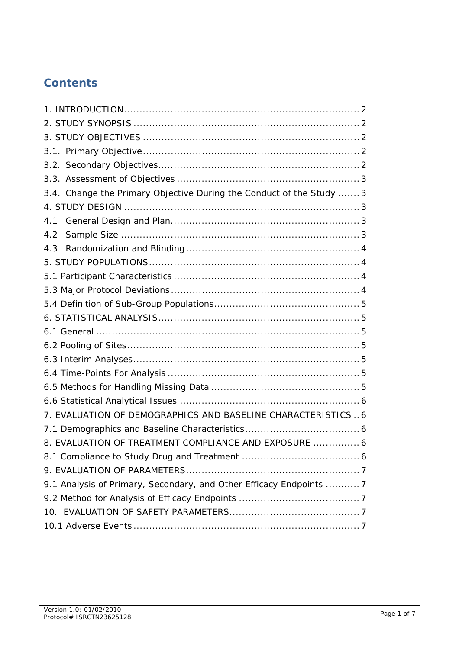## **Contents**

| 3.4. Change the Primary Objective During the Conduct of the Study  3 |
|----------------------------------------------------------------------|
|                                                                      |
| 4.1                                                                  |
| 4.2                                                                  |
| 4.3                                                                  |
|                                                                      |
|                                                                      |
|                                                                      |
|                                                                      |
|                                                                      |
|                                                                      |
|                                                                      |
|                                                                      |
|                                                                      |
|                                                                      |
|                                                                      |
| 7. EVALUATION OF DEMOGRAPHICS AND BASELINE CHARACTERISTICS6          |
|                                                                      |
| 8. EVALUATION OF TREATMENT COMPLIANCE AND EXPOSURE  6                |
|                                                                      |
|                                                                      |
| 9.1 Analysis of Primary, Secondary, and Other Efficacy Endpoints  7  |
|                                                                      |
|                                                                      |
|                                                                      |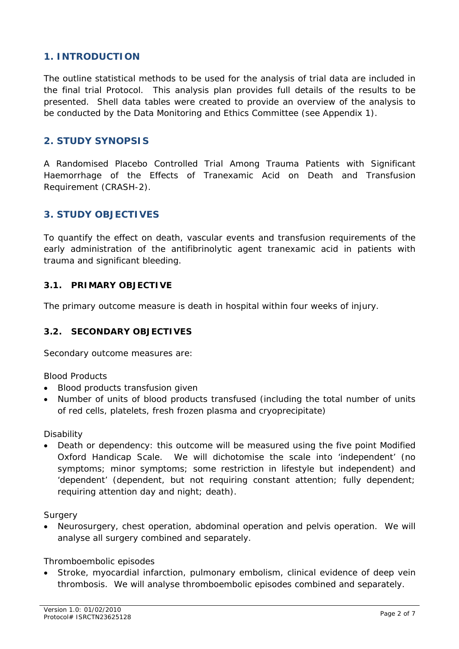## **1. INTRODUCTION**

The outline statistical methods to be used for the analysis of trial data are included in the final trial Protocol. This analysis plan provides full details of the results to be presented. Shell data tables were created to provide an overview of the analysis to be conducted by the Data Monitoring and Ethics Committee (see Appendix 1).

## **2. STUDY SYNOPSIS**

A Randomised Placebo Controlled Trial Among Trauma Patients with Significant Haemorrhage of the Effects of Tranexamic Acid on Death and Transfusion Requirement (CRASH-2).

## **3. STUDY OBJECTIVES**

To quantify the effect on death, vascular events and transfusion requirements of the early administration of the antifibrinolytic agent tranexamic acid in patients with trauma and significant bleeding.

## **3.1. PRIMARY OBJECTIVE**

The primary outcome measure is death in hospital within four weeks of injury.

## **3.2. SECONDARY OBJECTIVES**

Secondary outcome measures are:

## *Blood Products*

- Blood products transfusion given
- Number of units of blood products transfused (including the total number of units of red cells, platelets, fresh frozen plasma and cryoprecipitate)

#### *Disability*

• Death or dependency: this outcome will be measured using the five point Modified Oxford Handicap Scale. We will dichotomise the scale into 'independent' (no symptoms; minor symptoms; some restriction in lifestyle but independent) and 'dependent' (dependent, but not requiring constant attention; fully dependent; requiring attention day and night; death).

#### *Surgery*

• Neurosurgery, chest operation, abdominal operation and pelvis operation. We will analyse all surgery combined and separately.

#### *Thromboembolic episodes*

Stroke, myocardial infarction, pulmonary embolism, clinical evidence of deep vein thrombosis. We will analyse thromboembolic episodes combined and separately.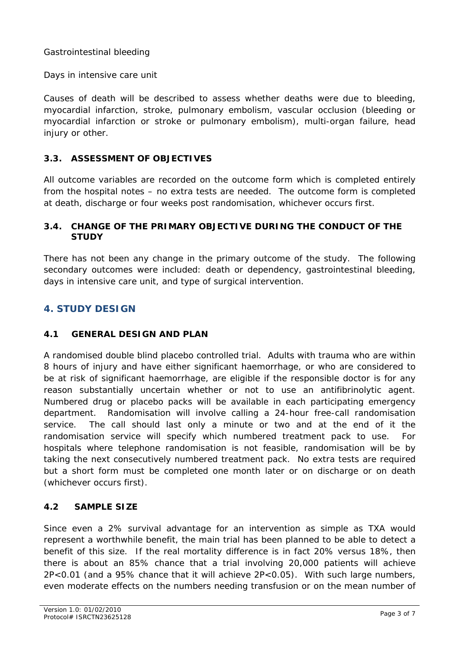## *Gastrointestinal bleeding*

## *Days in intensive care unit*

Causes of death will be described to assess whether deaths were due to bleeding, myocardial infarction, stroke, pulmonary embolism, vascular occlusion (bleeding or myocardial infarction or stroke or pulmonary embolism), multi-organ failure, head injury or other.

## **3.3. ASSESSMENT OF OBJECTIVES**

All outcome variables are recorded on the outcome form which is completed entirely from the hospital notes – no extra tests are needed. The outcome form is completed at death, discharge or four weeks post randomisation, whichever occurs first.

## **3.4. CHANGE OF THE PRIMARY OBJECTIVE DURING THE CONDUCT OF THE STUDY**

There has not been any change in the primary outcome of the study. The following secondary outcomes were included: death or dependency, gastrointestinal bleeding, days in intensive care unit, and type of surgical intervention.

## **4. STUDY DESIGN**

## **4.1 GENERAL DESIGN AND PLAN**

A randomised double blind placebo controlled trial. Adults with trauma who are within 8 hours of injury and have either significant haemorrhage, or who are considered to be at risk of significant haemorrhage, are eligible if the responsible doctor is for any reason substantially uncertain whether or not to use an antifibrinolytic agent. Numbered drug or placebo packs will be available in each participating emergency department. Randomisation will involve calling a 24-hour free-call randomisation service. The call should last only a minute or two and at the end of it the randomisation service will specify which numbered treatment pack to use. For hospitals where telephone randomisation is not feasible, randomisation will be by taking the next consecutively numbered treatment pack. No extra tests are required but a short form must be completed one month later or on discharge or on death (whichever occurs first).

## **4.2 SAMPLE SIZE**

Since even a 2% survival advantage for an intervention as simple as TXA would represent a worthwhile benefit, the main trial has been planned to be able to detect a benefit of this size. If the real mortality difference is in fact 20% versus 18%, then there is about an 85% chance that a trial involving 20,000 patients will achieve 2P<0.01 (and a 95% chance that it will achieve 2P<0.05). With such large numbers, even moderate effects on the numbers needing transfusion or on the mean number of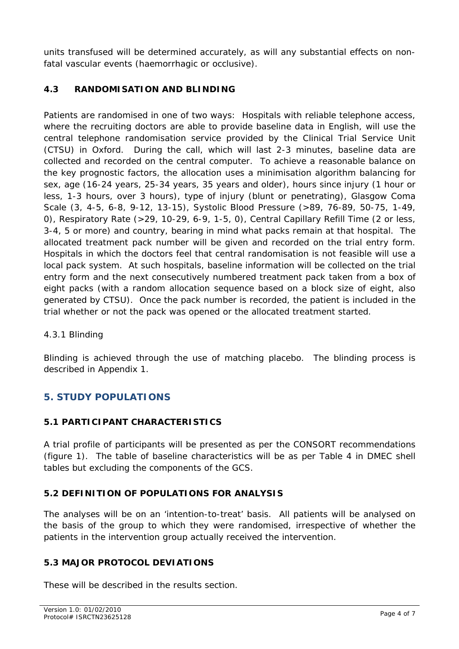units transfused will be determined accurately, as will any substantial effects on nonfatal vascular events (haemorrhagic or occlusive).

## **4.3 RANDOMISATION AND BLINDING**

Patients are randomised in one of two ways: Hospitals with reliable telephone access, where the recruiting doctors are able to provide baseline data in English, will use the central telephone randomisation service provided by the Clinical Trial Service Unit (CTSU) in Oxford. During the call, which will last 2-3 minutes, baseline data are collected and recorded on the central computer. To achieve a reasonable balance on the key prognostic factors, the allocation uses a minimisation algorithm balancing for sex, age (16-24 years, 25-34 years, 35 years and older), hours since injury (1 hour or less, 1-3 hours, over 3 hours), type of injury (blunt or penetrating), Glasgow Coma Scale (3, 4-5, 6-8, 9-12, 13-15), Systolic Blood Pressure (>89, 76-89, 50-75, 1-49, 0), Respiratory Rate (>29, 10-29, 6-9, 1-5, 0), Central Capillary Refill Time (2 or less, 3-4, 5 or more) and country, bearing in mind what packs remain at that hospital. The allocated treatment pack number will be given and recorded on the trial entry form. Hospitals in which the doctors feel that central randomisation is not feasible will use a local pack system. At such hospitals, baseline information will be collected on the trial entry form and the next consecutively numbered treatment pack taken from a box of eight packs (with a random allocation sequence based on a block size of eight, also generated by CTSU). Once the pack number is recorded, the patient is included in the trial whether or not the pack was opened or the allocated treatment started.

## *4.3.1 Blinding*

Blinding is achieved through the use of matching placebo. The blinding process is described in Appendix 1.

## **5. STUDY POPULATIONS**

## **5.1 PARTICIPANT CHARACTERISTICS**

A trial profile of participants will be presented as per the CONSORT recommendations (figure 1). The table of baseline characteristics will be as per Table 4 in DMEC shell tables but excluding the components of the GCS.

## **5.2 DEFINITION OF POPULATIONS FOR ANALYSIS**

The analyses will be on an 'intention-to-treat' basis. All patients will be analysed on the basis of the group to which they were randomised, irrespective of whether the patients in the intervention group actually received the intervention.

## **5.3 MAJOR PROTOCOL DEVIATIONS**

These will be described in the results section.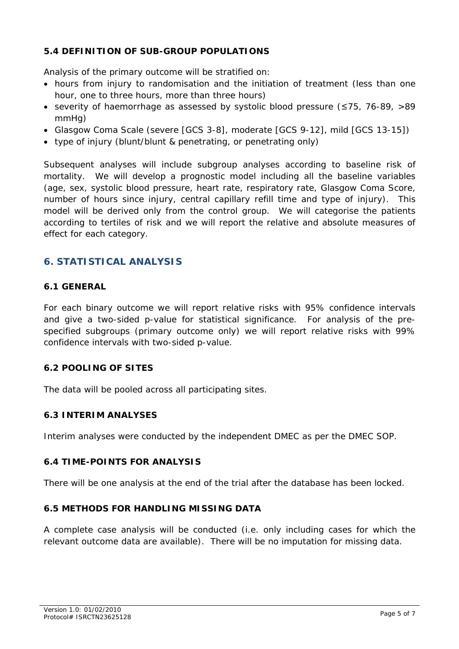## **5.4 DEFINITION OF SUB-GROUP POPULATIONS**

Analysis of the primary outcome will be stratified on:

- hours from injury to randomisation and the initiation of treatment (less than one hour, one to three hours, more than three hours)
- severity of haemorrhage as assessed by systolic blood pressure (≤75, 76-89, >89 mmHg)
- Glasgow Coma Scale (severe [GCS 3-8], moderate [GCS 9-12], mild [GCS 13-15])
- type of injury (blunt/blunt & penetrating, or penetrating only)

Subsequent analyses will include subgroup analyses according to baseline risk of mortality. We will develop a prognostic model including all the baseline variables (age, sex, systolic blood pressure, heart rate, respiratory rate, Glasgow Coma Score, number of hours since injury, central capillary refill time and type of injury). This model will be derived only from the control group. We will categorise the patients according to tertiles of risk and we will report the relative and absolute measures of effect for each category.

## **6. STATISTICAL ANALYSIS**

## **6.1 GENERAL**

For each binary outcome we will report relative risks with 95% confidence intervals and give a two-sided p-value for statistical significance. For analysis of the prespecified subgroups (primary outcome only) we will report relative risks with 99% confidence intervals with two-sided p-value.

## **6.2 POOLING OF SITES**

The data will be pooled across all participating sites.

## **6.3 INTERIM ANALYSES**

Interim analyses were conducted by the independent DMEC as per the DMEC SOP.

## **6.4 TIME-POINTS FOR ANALYSIS**

There will be one analysis at the end of the trial after the database has been locked.

## **6.5 METHODS FOR HANDLING MISSING DATA**

A complete case analysis will be conducted (i.e. only including cases for which the relevant outcome data are available). There will be no imputation for missing data.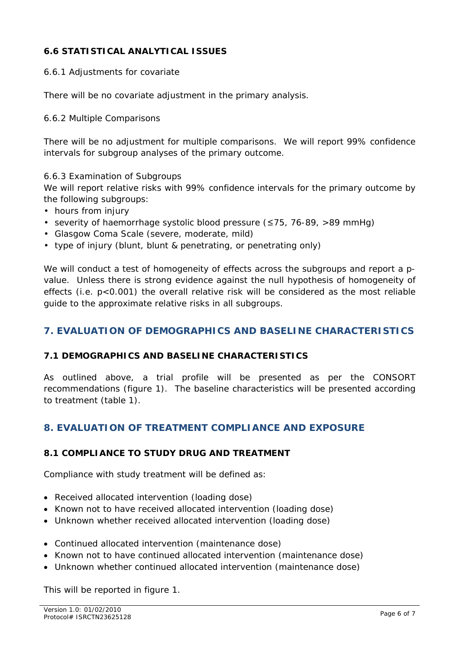## **6.6 STATISTICAL ANALYTICAL ISSUES**

#### *6.6.1 Adjustments for covariate*

There will be no covariate adjustment in the primary analysis.

#### *6.6.2 Multiple Comparisons*

There will be no adjustment for multiple comparisons. We will report 99% confidence intervals for subgroup analyses of the primary outcome.

#### *6.6.3 Examination of Subgroups*

We will report relative risks with 99% confidence intervals for the primary outcome by the following subgroups:

- hours from injury
- severity of haemorrhage systolic blood pressure (≤75, 76-89, >89 mmHg)
- Glasgow Coma Scale (severe, moderate, mild)
- type of injury (blunt, blunt & penetrating, or penetrating only)

We will conduct a test of homogeneity of effects across the subgroups and report a pvalue. Unless there is strong evidence against the null hypothesis of homogeneity of effects (i.e. p<0.001) the overall relative risk will be considered as the most reliable guide to the approximate relative risks in all subgroups.

## **7. EVALUATION OF DEMOGRAPHICS AND BASELINE CHARACTERISTICS**

## **7.1 DEMOGRAPHICS AND BASELINE CHARACTERISTICS**

As outlined above, a trial profile will be presented as per the CONSORT recommendations (figure 1). The baseline characteristics will be presented according to treatment (table 1).

## **8. EVALUATION OF TREATMENT COMPLIANCE AND EXPOSURE**

## **8.1 COMPLIANCE TO STUDY DRUG AND TREATMENT**

Compliance with study treatment will be defined as:

- Received allocated intervention (loading dose)
- Known not to have received allocated intervention (loading dose)
- Unknown whether received allocated intervention (loading dose)
- Continued allocated intervention (maintenance dose)
- Known not to have continued allocated intervention (maintenance dose)
- Unknown whether continued allocated intervention (maintenance dose)

This will be reported in figure 1.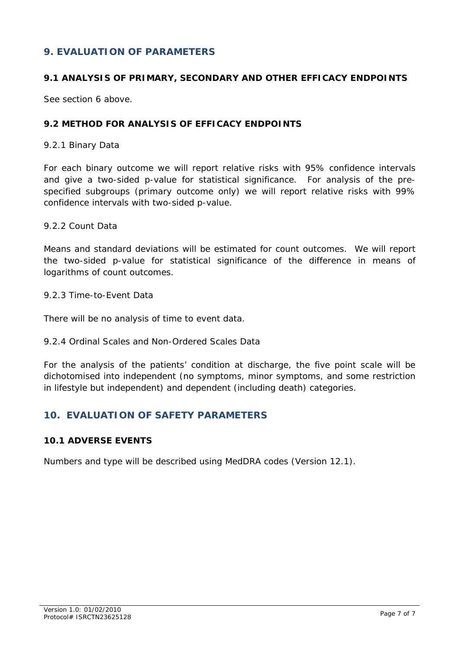## **9. EVALUATION OF PARAMETERS**

## **9.1 ANALYSIS OF PRIMARY, SECONDARY AND OTHER EFFICACY ENDPOINTS**

See section 6 above.

## **9.2 METHOD FOR ANALYSIS OF EFFICACY ENDPOINTS**

#### *9.2.1 Binary Data*

For each binary outcome we will report relative risks with 95% confidence intervals and give a two-sided p-value for statistical significance. For analysis of the prespecified subgroups (primary outcome only) we will report relative risks with 99% confidence intervals with two-sided p-value.

#### *9.2.2 Count Data*

Means and standard deviations will be estimated for count outcomes. We will report the two-sided p-value for statistical significance of the difference in means of logarithms of count outcomes.

#### *9.2.3 Time-to-Event Data*

There will be no analysis of time to event data.

## *9.2.4 Ordinal Scales and Non-Ordered Scales Data*

For the analysis of the patients' condition at discharge, the five point scale will be dichotomised into independent (no symptoms, minor symptoms, and some restriction in lifestyle but independent) and dependent (including death) categories.

## **10. EVALUATION OF SAFETY PARAMETERS**

## **10.1 ADVERSE EVENTS**

Numbers and type will be described using MedDRA codes (Version 12.1).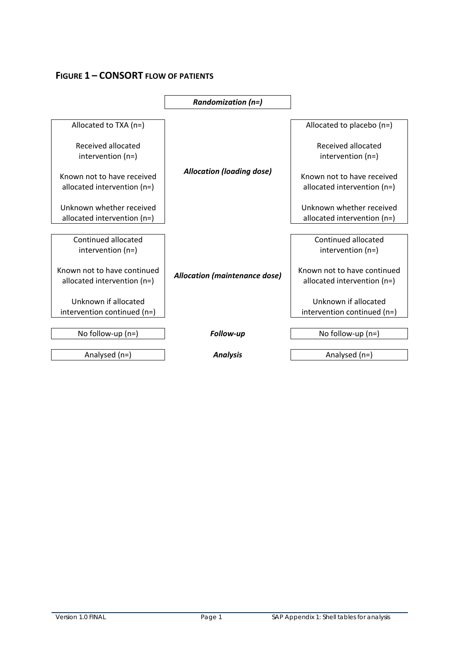## **FIGURE 1 – CONSORT FLOW OF PATIENTS**

|                                                              | <b>Randomization (n=)</b>            |                                                              |
|--------------------------------------------------------------|--------------------------------------|--------------------------------------------------------------|
| Allocated to TXA $(n=)$                                      |                                      | Allocated to placebo $(n=)$                                  |
| Received allocated<br>intervention $(n=)$                    |                                      | Received allocated<br>intervention $(n=)$                    |
| Known not to have received<br>allocated intervention $(n=)$  | <b>Allocation (loading dose)</b>     | Known not to have received<br>allocated intervention $(n=)$  |
| Unknown whether received<br>allocated intervention $(n=)$    |                                      | Unknown whether received<br>allocated intervention $(n=)$    |
| Continued allocated<br>intervention $(n=)$                   |                                      | Continued allocated<br>intervention $(n=)$                   |
| Known not to have continued<br>allocated intervention $(n=)$ | <b>Allocation (maintenance dose)</b> | Known not to have continued<br>allocated intervention $(n=)$ |
| Unknown if allocated<br>intervention continued (n=)          |                                      | Unknown if allocated<br>intervention continued (n=)          |
| No follow-up $(n=)$                                          | Follow-up                            | No follow-up $(n=)$                                          |
|                                                              |                                      |                                                              |
| Analysed $(n=)$                                              | <b>Analysis</b>                      | Analysed $(n=)$                                              |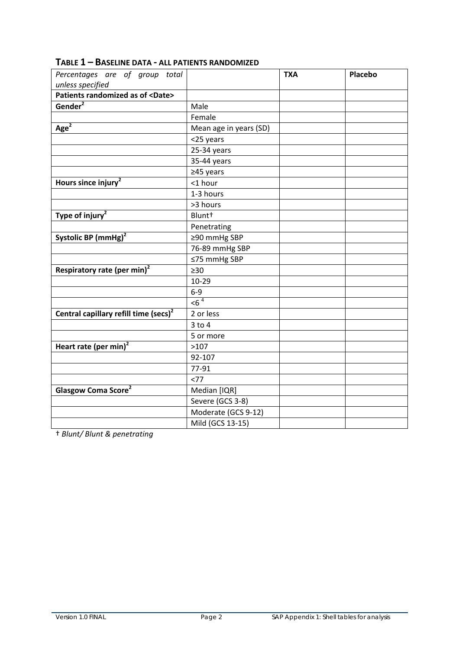| Percentages are of group total<br>unless specified |                        | <b>TXA</b> | <b>Placebo</b> |
|----------------------------------------------------|------------------------|------------|----------------|
| Patients randomized as of <date></date>            |                        |            |                |
| Gender <sup>2</sup>                                | Male                   |            |                |
|                                                    | Female                 |            |                |
| Age <sup>2</sup>                                   | Mean age in years (SD) |            |                |
|                                                    | <25 years              |            |                |
|                                                    | 25-34 years            |            |                |
|                                                    | 35-44 years            |            |                |
|                                                    | $≥45$ years            |            |                |
| Hours since injury <sup>2</sup>                    | <1 hour                |            |                |
|                                                    | 1-3 hours              |            |                |
|                                                    | >3 hours               |            |                |
| Type of injury <sup>2</sup>                        | Blunt <sup>+</sup>     |            |                |
|                                                    | Penetrating            |            |                |
| Systolic BP (mmHg) <sup>2</sup>                    | ≥90 mmHg SBP           |            |                |
|                                                    | 76-89 mmHg SBP         |            |                |
|                                                    | ≤75 mmHg SBP           |            |                |
| Respiratory rate (per min) <sup>2</sup>            | $\geq 30$              |            |                |
|                                                    | $10 - 29$              |            |                |
|                                                    | $6-9$                  |            |                |
|                                                    | $56^4$                 |            |                |
| Central capillary refill time (secs) <sup>2</sup>  | 2 or less              |            |                |
|                                                    | $3$ to $4$             |            |                |
|                                                    | 5 or more              |            |                |
| Heart rate (per min) <sup>2</sup>                  | >107                   |            |                |
|                                                    | 92-107                 |            |                |
|                                                    | 77-91                  |            |                |
|                                                    | <77                    |            |                |
| Glasgow Coma Score <sup>2</sup>                    | Median [IQR]           |            |                |
|                                                    | Severe (GCS 3-8)       |            |                |
|                                                    | Moderate (GCS 9-12)    |            |                |
|                                                    | Mild (GCS 13-15)       |            |                |

† *Blunt/ Blunt & penetrating*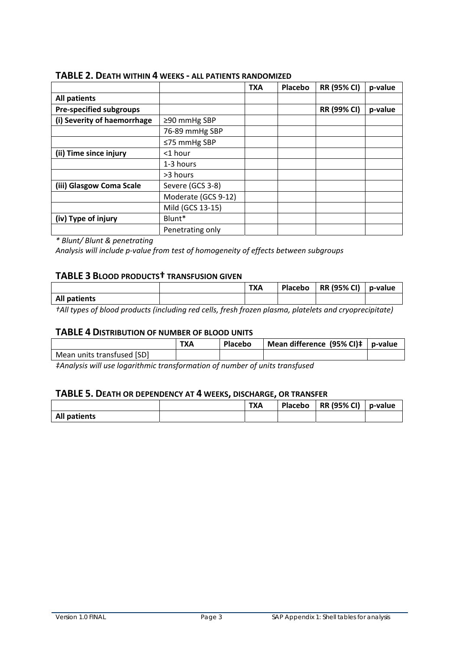|                                |                     | <b>TXA</b> | <b>Placebo</b> | <b>RR (95% CI)</b> | p-value |
|--------------------------------|---------------------|------------|----------------|--------------------|---------|
| <b>All patients</b>            |                     |            |                |                    |         |
| <b>Pre-specified subgroups</b> |                     |            |                | <b>RR (99% CI)</b> | p-value |
| (i) Severity of haemorrhage    | ≥90 mmHg SBP        |            |                |                    |         |
|                                | 76-89 mmHg SBP      |            |                |                    |         |
|                                | ≤75 mmHg SBP        |            |                |                    |         |
| (ii) Time since injury         | $<$ 1 hour          |            |                |                    |         |
|                                | 1-3 hours           |            |                |                    |         |
|                                | >3 hours            |            |                |                    |         |
| (iii) Glasgow Coma Scale       | Severe (GCS 3-8)    |            |                |                    |         |
|                                | Moderate (GCS 9-12) |            |                |                    |         |
|                                | Mild (GCS 13-15)    |            |                |                    |         |
| (iv) Type of injury            | Blunt*              |            |                |                    |         |
|                                | Penetrating only    |            |                |                    |         |

#### **TABLE 2. DEATH WITHIN 4 WEEKS ‐ ALL PATIENTS RANDOMIZED**

*\* Blunt/ Blunt & penetrating*

*Analysis will include p‐value from test of homogeneity of effects between subgroups*

#### **TABLE 3 BLOOD PRODUCTS† TRANSFUSION GIVEN**

|                     | <b>TXA</b> | Placebo | RR (95% CI) | p-value |
|---------------------|------------|---------|-------------|---------|
| <b>All patients</b> |            |         |             |         |

*†All types of blood products (including red cells, fresh frozen plasma, platelets and cryoprecipitate)*

#### **TABLE 4 DISTRIBUTION OF NUMBER OF BLOOD UNITS**

|                            | <b>TXA</b> | <b>Placebo</b> | Mean difference $(95% Cl)$ ‡   p-value |  |
|----------------------------|------------|----------------|----------------------------------------|--|
| Mean units transfused [SD] |            |                |                                        |  |

*‡Analysis will use logarithmic transformation of number of units transfused*

#### **TABLE 5. DEATH OR DEPENDENCY AT 4 WEEKS, DISCHARGE, OR TRANSFER**

|                     | <b>TXA</b> | Placebo | <b>RR (95% CI)</b> | p-value |
|---------------------|------------|---------|--------------------|---------|
| <b>All patients</b> |            |         |                    |         |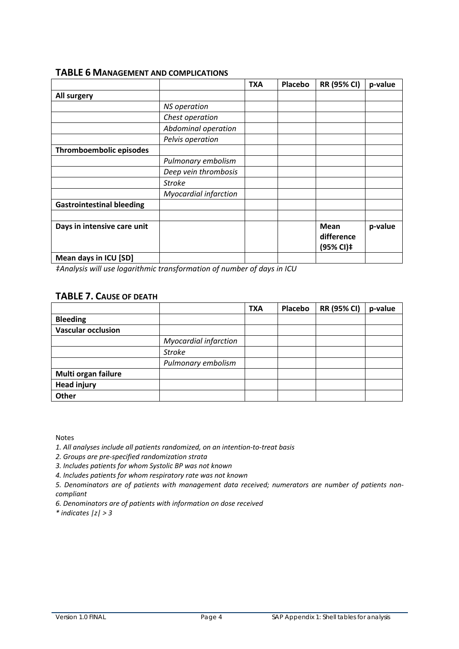#### **TABLE 6 MANAGEMENT AND COMPLICATIONS**

|                                  |                              | <b>TXA</b> | Placebo | <b>RR (95% CI)</b>                     | p-value |
|----------------------------------|------------------------------|------------|---------|----------------------------------------|---------|
| All surgery                      |                              |            |         |                                        |         |
|                                  | <b>NS</b> operation          |            |         |                                        |         |
|                                  | Chest operation              |            |         |                                        |         |
|                                  | Abdominal operation          |            |         |                                        |         |
|                                  | Pelvis operation             |            |         |                                        |         |
| Thromboembolic episodes          |                              |            |         |                                        |         |
|                                  | Pulmonary embolism           |            |         |                                        |         |
|                                  | Deep vein thrombosis         |            |         |                                        |         |
|                                  | <b>Stroke</b>                |            |         |                                        |         |
|                                  | <b>Myocardial infarction</b> |            |         |                                        |         |
| <b>Gastrointestinal bleeding</b> |                              |            |         |                                        |         |
|                                  |                              |            |         |                                        |         |
| Days in intensive care unit      |                              |            |         | <b>Mean</b><br>difference<br>(95% CI)‡ | p-value |
| Mean days in ICU [SD]            |                              |            |         |                                        |         |

*‡Analysis will use logarithmic transformation of number of days in ICU*

## **TABLE 7. CAUSE OF DEATH**

|                           |                              | <b>TXA</b> | Placebo | <b>RR (95% CI)</b> | p-value |
|---------------------------|------------------------------|------------|---------|--------------------|---------|
| <b>Bleeding</b>           |                              |            |         |                    |         |
| <b>Vascular occlusion</b> |                              |            |         |                    |         |
|                           | <b>Myocardial infarction</b> |            |         |                    |         |
|                           | <b>Stroke</b>                |            |         |                    |         |
|                           | Pulmonary embolism           |            |         |                    |         |
| Multi organ failure       |                              |            |         |                    |         |
| <b>Head injury</b>        |                              |            |         |                    |         |
| Other                     |                              |            |         |                    |         |

Notes

*1. All analyses include all patients randomized, on an intention‐to‐treat basis*

*2. Groups are pre‐specified randomization strata*

*3. Includes patients for whom Systolic BP was not known*

*4. Includes patients for whom respiratory rate was not known*

*5. Denominators are of patients with management data received; numerators are number of patients non‐ compliant*

*6. Denominators are of patients with information on dose received*

*\* indicates |z| > 3*